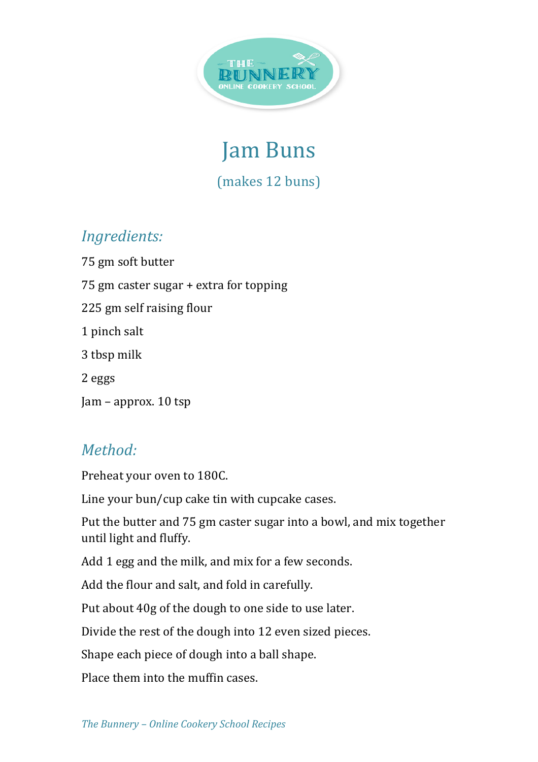

**Jam Buns** 

(makes 12 buns)

## **Ingredients:**

75 gm soft butter

75 gm caster sugar + extra for topping

225 gm self raising flour

1 pinch salt

3 tbsp milk

2 eggs

 $\text{Jam}$  – approx. 10 tsp

## *Method:*

Preheat your oven to 180C.

Line your bun/cup cake tin with cupcake cases.

Put the butter and 75 gm caster sugar into a bowl, and mix together until light and fluffy.

Add 1 egg and the milk, and mix for a few seconds.

Add the flour and salt, and fold in carefully.

Put about 40g of the dough to one side to use later.

Divide the rest of the dough into 12 even sized pieces.

Shape each piece of dough into a ball shape.

Place them into the muffin cases.